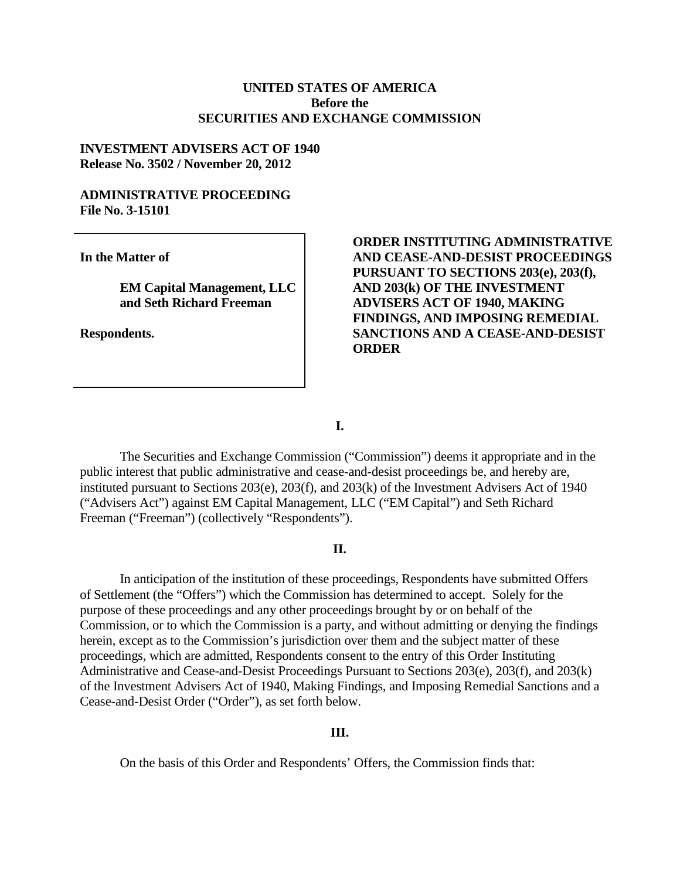## **UNITED STATES OF AMERICA Before the SECURITIES AND EXCHANGE COMMISSION**

## **INVESTMENT ADVISERS ACT OF 1940 Release No. 3502 / November 20, 2012**

## **ADMINISTRATIVE PROCEEDING File No. 3-15101**

**In the Matter of**

**EM Capital Management, LLC and Seth Richard Freeman**

**Respondents.**

# **ORDER INSTITUTING ADMINISTRATIVE AND CEASE-AND-DESIST PROCEEDINGS PURSUANT TO SECTIONS 203(e), 203(f), AND 203(k) OF THE INVESTMENT ADVISERS ACT OF 1940, MAKING FINDINGS, AND IMPOSING REMEDIAL SANCTIONS AND A CEASE-AND-DESIST ORDER**

**I.**

The Securities and Exchange Commission ("Commission") deems it appropriate and in the public interest that public administrative and cease-and-desist proceedings be, and hereby are, instituted pursuant to Sections 203(e), 203(f), and 203(k) of the Investment Advisers Act of 1940 ("Advisers Act") against EM Capital Management, LLC ("EM Capital") and Seth Richard Freeman ("Freeman") (collectively "Respondents").

## **II.**

In anticipation of the institution of these proceedings, Respondents have submitted Offers of Settlement (the "Offers") which the Commission has determined to accept. Solely for the purpose of these proceedings and any other proceedings brought by or on behalf of the Commission, or to which the Commission is a party, and without admitting or denying the findings herein, except as to the Commission's jurisdiction over them and the subject matter of these proceedings, which are admitted, Respondents consent to the entry of this Order Instituting Administrative and Cease-and-Desist Proceedings Pursuant to Sections 203(e), 203(f), and 203(k) of the Investment Advisers Act of 1940, Making Findings, and Imposing Remedial Sanctions and a Cease-and-Desist Order ("Order"), as set forth below.

# **III.**

On the basis of this Order and Respondents' Offers, the Commission finds that: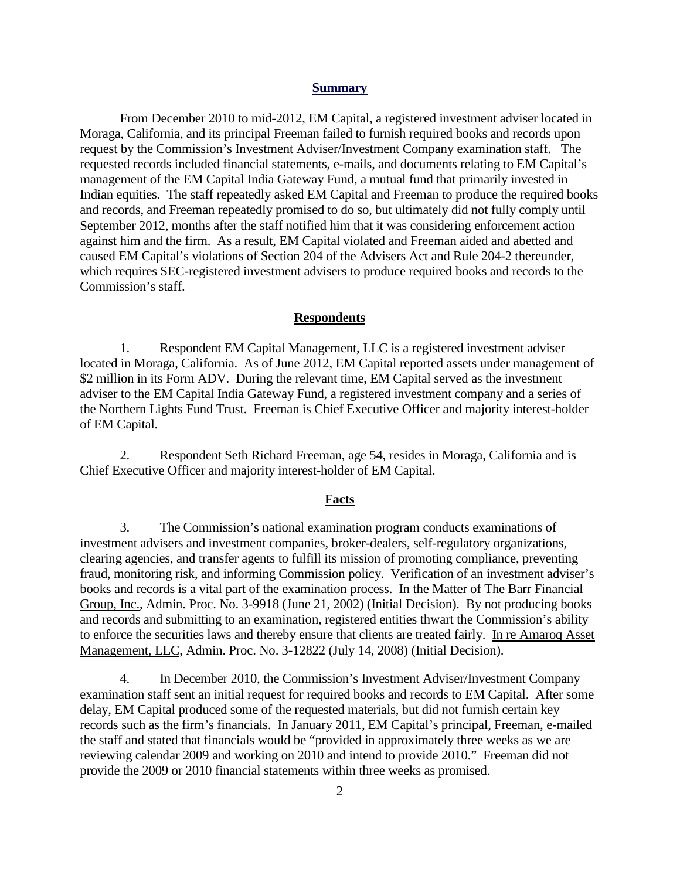#### **Summary**

From December 2010 to mid-2012, EM Capital, a registered investment adviser located in Moraga, California, and its principal Freeman failed to furnish required books and records upon request by the Commission's Investment Adviser/Investment Company examination staff. The requested records included financial statements, e-mails, and documents relating to EM Capital's management of the EM Capital India Gateway Fund, a mutual fund that primarily invested in Indian equities. The staff repeatedly asked EM Capital and Freeman to produce the required books and records, and Freeman repeatedly promised to do so, but ultimately did not fully comply until September 2012, months after the staff notified him that it was considering enforcement action against him and the firm. As a result, EM Capital violated and Freeman aided and abetted and caused EM Capital's violations of Section 204 of the Advisers Act and Rule 204-2 thereunder, which requires SEC-registered investment advisers to produce required books and records to the Commission's staff.

### **Respondents**

1. Respondent EM Capital Management, LLC is a registered investment adviser located in Moraga, California. As of June 2012, EM Capital reported assets under management of \$2 million in its Form ADV. During the relevant time, EM Capital served as the investment adviser to the EM Capital India Gateway Fund, a registered investment company and a series of the Northern Lights Fund Trust. Freeman is Chief Executive Officer and majority interest-holder of EM Capital.

2. Respondent Seth Richard Freeman, age 54, resides in Moraga, California and is Chief Executive Officer and majority interest-holder of EM Capital.

#### **Facts**

3. The Commission's national examination program conducts examinations of investment advisers and investment companies, broker-dealers, self-regulatory organizations, clearing agencies, and transfer agents to fulfill its mission of promoting compliance, preventing fraud, monitoring risk, and informing Commission policy. Verification of an investment adviser's books and records is a vital part of the examination process. In the Matter of The Barr Financial Group, Inc., Admin. Proc. No. 3-9918 (June 21, 2002) (Initial Decision). By not producing books and records and submitting to an examination, registered entities thwart the Commission's ability to enforce the securities laws and thereby ensure that clients are treated fairly. In re Amaroq Asset Management, LLC, Admin. Proc. No. 3-12822 (July 14, 2008) (Initial Decision).

4. In December 2010, the Commission's Investment Adviser/Investment Company examination staff sent an initial request for required books and records to EM Capital. After some delay, EM Capital produced some of the requested materials, but did not furnish certain key records such as the firm's financials. In January 2011, EM Capital's principal, Freeman, e-mailed the staff and stated that financials would be "provided in approximately three weeks as we are reviewing calendar 2009 and working on 2010 and intend to provide 2010." Freeman did not provide the 2009 or 2010 financial statements within three weeks as promised.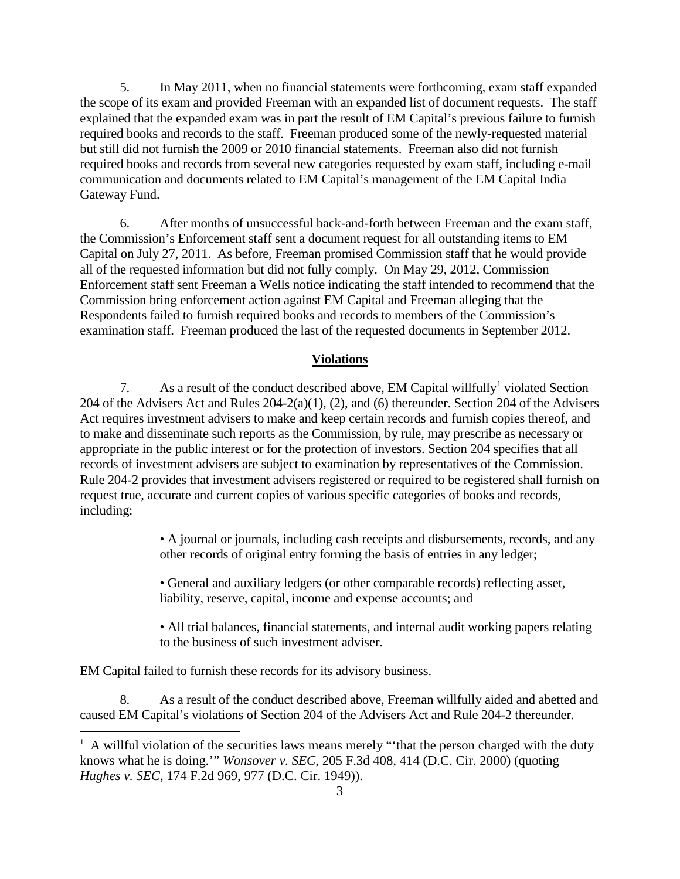5. In May 2011, when no financial statements were forthcoming, exam staff expanded the scope of its exam and provided Freeman with an expanded list of document requests. The staff explained that the expanded exam was in part the result of EM Capital's previous failure to furnish required books and records to the staff. Freeman produced some of the newly-requested material but still did not furnish the 2009 or 2010 financial statements. Freeman also did not furnish required books and records from several new categories requested by exam staff, including e-mail communication and documents related to EM Capital's management of the EM Capital India Gateway Fund.

6. After months of unsuccessful back-and-forth between Freeman and the exam staff, the Commission's Enforcement staff sent a document request for all outstanding items to EM Capital on July 27, 2011. As before, Freeman promised Commission staff that he would provide all of the requested information but did not fully comply. On May 29, 2012, Commission Enforcement staff sent Freeman a Wells notice indicating the staff intended to recommend that the Commission bring enforcement action against EM Capital and Freeman alleging that the Respondents failed to furnish required books and records to members of the Commission's examination staff. Freeman produced the last of the requested documents in September 2012.

## **Violations**

7. As a result of the conduct described above, EM Capital willfully<sup>[1](#page-2-0)</sup> violated Section 204 of the Advisers Act and Rules 204-2(a)(1), (2), and (6) thereunder. Section 204 of the Advisers Act requires investment advisers to make and keep certain records and furnish copies thereof, and to make and disseminate such reports as the Commission, by rule, may prescribe as necessary or appropriate in the public interest or for the protection of investors. Section 204 specifies that all records of investment advisers are subject to examination by representatives of the Commission. Rule 204-2 provides that investment advisers registered or required to be registered shall furnish on request true, accurate and current copies of various specific categories of books and records, including:

> • A journal or journals, including cash receipts and disbursements, records, and any other records of original entry forming the basis of entries in any ledger;

• General and auxiliary ledgers (or other comparable records) reflecting asset, liability, reserve, capital, income and expense accounts; and

• All trial balances, financial statements, and internal audit working papers relating to the business of such investment adviser.

EM Capital failed to furnish these records for its advisory business.

8. As a result of the conduct described above, Freeman willfully aided and abetted and caused EM Capital's violations of Section 204 of the Advisers Act and Rule 204-2 thereunder.

<span id="page-2-0"></span><sup>|&</sup>lt;br>|<br>|  $^1$  A willful violation of the securities laws means merely "that the person charged with the duty knows what he is doing.'" *Wonsover v. SEC*, 205 F.3d 408, 414 (D.C. Cir. 2000) (quoting *Hughes v. SEC*, 174 F.2d 969, 977 (D.C. Cir. 1949)).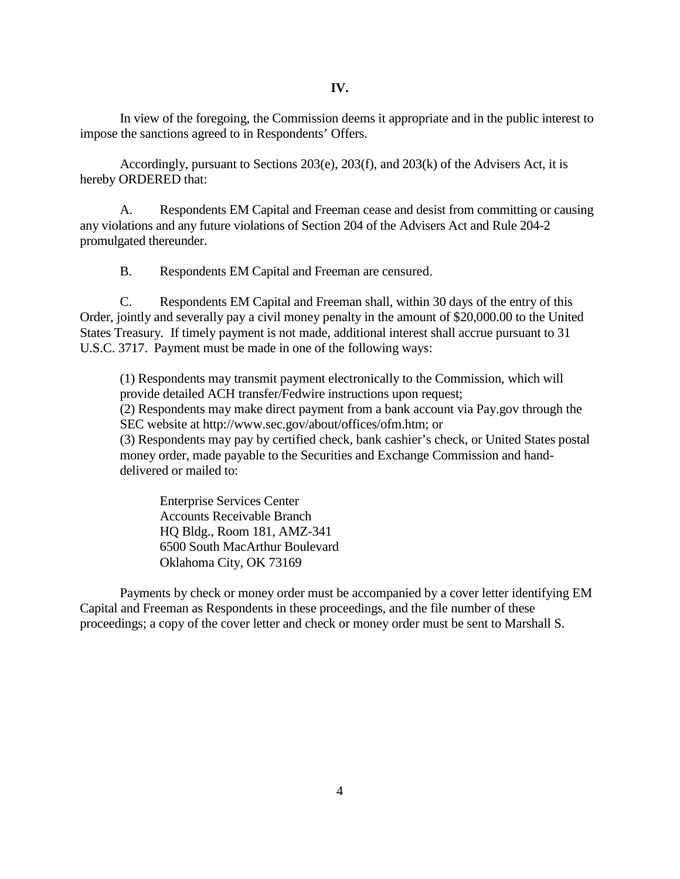In view of the foregoing, the Commission deems it appropriate and in the public interest to impose the sanctions agreed to in Respondents' Offers.

Accordingly, pursuant to Sections 203(e), 203(f), and 203(k) of the Advisers Act, it is hereby ORDERED that:

A. Respondents EM Capital and Freeman cease and desist from committing or causing any violations and any future violations of Section 204 of the Advisers Act and Rule 204-2 promulgated thereunder.

B. Respondents EM Capital and Freeman are censured.

C. Respondents EM Capital and Freeman shall, within 30 days of the entry of this Order, jointly and severally pay a civil money penalty in the amount of \$20,000.00 to the United States Treasury*.* If timely payment is not made, additional interest shall accrue pursuant to 31 U.S.C. 3717. Payment must be made in one of the following ways:

(1) Respondents may transmit payment electronically to the Commission, which will provide detailed ACH transfer/Fedwire instructions upon request;

(2) Respondents may make direct payment from a bank account via Pay.gov through the SEC website at http://www.sec.gov/about/offices/ofm.htm; or

(3) Respondents may pay by certified check, bank cashier's check, or United States postal money order, made payable to the Securities and Exchange Commission and handdelivered or mailed to:

Enterprise Services Center Accounts Receivable Branch HQ Bldg., Room 181, AMZ-341 6500 South MacArthur Boulevard Oklahoma City, OK 73169

Payments by check or money order must be accompanied by a cover letter identifying EM Capital and Freeman as Respondents in these proceedings, and the file number of these proceedings; a copy of the cover letter and check or money order must be sent to Marshall S.